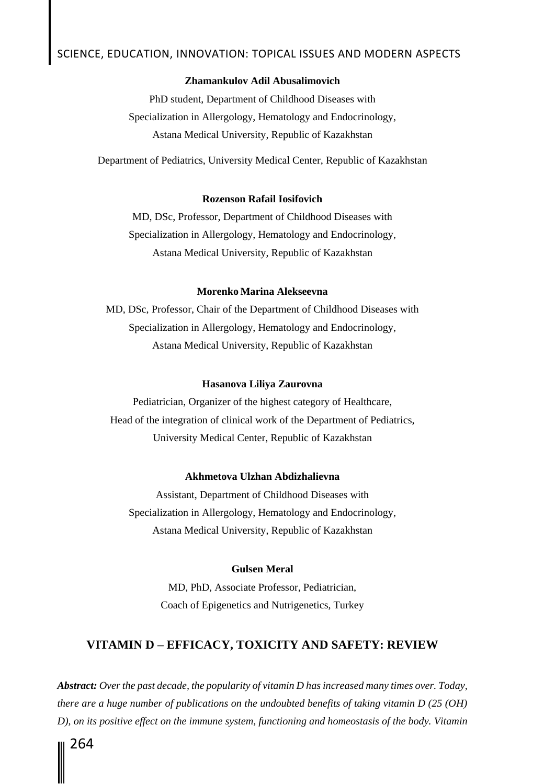### **Zhamankulov Adil Abusalimovich**

PhD student, Department of Childhood Diseases with Specialization in Allergology, Hematology and Endocrinology, Astana Medical University, Republic of Kazakhstan

Department of Pediatrics, University Medical Center, Republic of Kazakhstan

### **Rozenson Rafail Iosifovich**

MD, DSc, Professor, Department of Childhood Diseases with Specialization in Allergology, Hematology and Endocrinology, Astana Medical University, Republic of Kazakhstan

### **Morenko Marina Alekseevna**

MD, DSc, Professor, Chair of the Department of Childhood Diseases with Specialization in Allergology, Hematology and Endocrinology, Astana Medical University, Republic of Kazakhstan

### **Hasanova Liliya Zaurovna**

Рediatrician, Organizer of the highest category of Healthcare, Head of the integration of clinical work of the Department of Pediatrics, University Medical Center, Republic of Kazakhstan

### **Akhmetova Ulzhan Abdizhalievna**

Assistant, Department of Childhood Diseases with Specialization in Allergology, Hematology and Endocrinology, Astana Medical University, Republic of Kazakhstan

### **Gulsen Meral**

MD, PhD, Associate Professor, Pediatrician, Coach of Epigenetics and Nutrigenetics, Turkey

## **VITAMIN D – EFFICACY, TOXICITY AND SAFETY: REVIEW**

*Abstract: Over the past decade, the popularity of vitamin D has increased many times over. Today, there are a huge number of publications on the undoubted benefits of taking vitamin D (25 (OH) D), on its positive effect on the immune system, functioning and homeostasis of the body. Vitamin*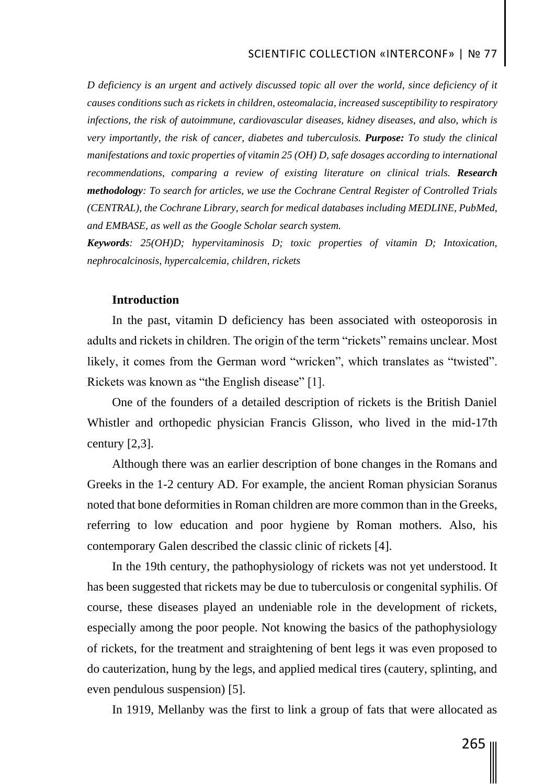*D deficiency is an urgent and actively discussed topic all over the world, since deficiency of it causes conditions such as rickets in children, osteomalacia, increased susceptibility to respiratory infections, the risk of autoimmune, cardiovascular diseases, kidney diseases, and also, which is very importantly, the risk of cancer, diabetes and tuberculosis. Purpose: To study the clinical manifestations and toxic properties of vitamin 25 (OH) D, safe dosages according to international recommendations, comparing a review of existing literature on clinical trials. Research methodology: To search for articles, we use the Cochrane Central Register of Controlled Trials (CENTRAL), the Cochrane Library, search for medical databases including MEDLINE, PubMed, and EMBASE, as well as the Google Scholar search system.* 

*Keywords: 25(OH)D; hypervitaminosis D; toxic properties of vitamin D; Intoxication, nephrocalcinosis, hypercalcemia, children, rickets*

### **Introduction**

In the past, vitamin D deficiency has been associated with osteoporosis in adults and rickets in children. The origin of the term "rickets" remains unclear. Most likely, it comes from the German word "wricken", which translates as "twisted". Rickets was known as "the English disease" [1].

One of the founders of a detailed description of rickets is the British Daniel Whistler and orthopedic physician Francis Glisson, who lived in the mid-17th century [2,3].

Although there was an earlier description of bone changes in the Romans and Greeks in the 1-2 century AD. For example, the ancient Roman physician Soranus noted that bone deformities in Roman children are more common than in the Greeks, referring to low education and poor hygiene by Roman mothers. Also, his contemporary Galen described the classic clinic of rickets [4].

In the 19th century, the pathophysiology of rickets was not yet understood. It has been suggested that rickets may be due to tuberculosis or congenital syphilis. Of course, these diseases played an undeniable role in the development of rickets, especially among the poor people. Not knowing the basics of the pathophysiology of rickets, for the treatment and straightening of bent legs it was even proposed to do cauterization, hung by the legs, and applied medical tires (cautery, splinting, and even pendulous suspension) [5].

In 1919, Mellanby was the first to link a group of fats that were allocated as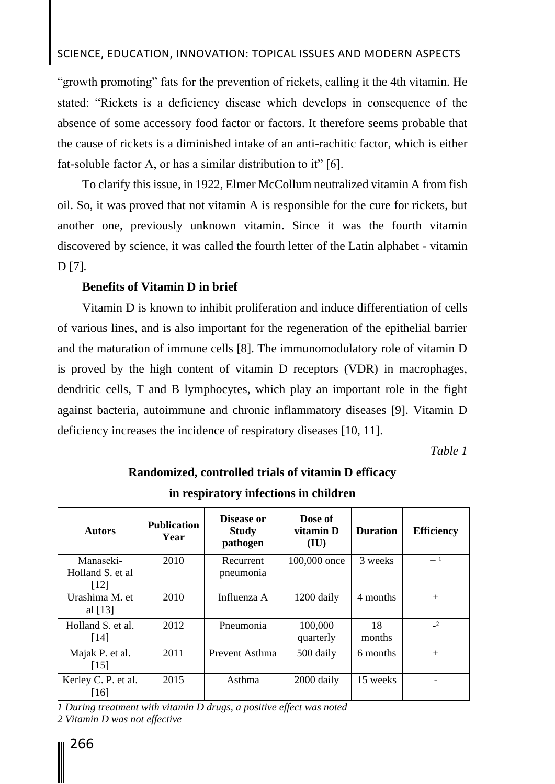## SCIENCE, EDUCATION, INNOVATION: TOPICAL ISSUES AND MODERN ASPECTS

"growth promoting" fats for the prevention of rickets, calling it the 4th vitamin. He stated: "Rickets is a deficiency disease which develops in consequence of the absence of some accessory food factor or factors. It therefore seems probable that the cause of rickets is a diminished intake of an anti-rachitic factor, which is either fat-soluble factor A, or has a similar distribution to it" [6].

To clarify this issue, in 1922, Elmer McCollum neutralized vitamin A from fish oil. So, it was proved that not vitamin A is responsible for the cure for rickets, but another one, previously unknown vitamin. Since it was the fourth vitamin discovered by science, it was called the fourth letter of the Latin alphabet - vitamin D [7].

## **Benefits of Vitamin D in brief**

Vitamin D is known to inhibit proliferation and induce differentiation of cells of various lines, and is also important for the regeneration of the epithelial barrier and the maturation of immune cells [8]. The immunomodulatory role of vitamin D is proved by the high content of vitamin D receptors (VDR) in macrophages, dendritic cells, T and B lymphocytes, which play an important role in the fight against bacteria, autoimmune and chronic inflammatory diseases [9]. Vitamin D deficiency increases the incidence of respiratory diseases [10, 11].

*Table 1*

| <b>Autors</b>                          | <b>Publication</b><br>Year | Disease or<br><b>Study</b><br>pathogen | Dose of<br>vitamin D<br>(IU) | <b>Duration</b> | <b>Efficiency</b> |
|----------------------------------------|----------------------------|----------------------------------------|------------------------------|-----------------|-------------------|
| Manaseki-<br>Holland S. et al.<br>[12] | 2010                       | Recurrent<br>pneumonia                 | 100,000 once                 | 3 weeks         | $+1$              |
| Urashima M. et<br>al $[13]$            | 2010                       | Influenza A                            | 1200 daily                   | 4 months        | $^{+}$            |
| Holland S. et al.<br>[14]              | 2012                       | Pneumonia                              | 100,000<br>quarterly         | 18<br>months    | $\mathbf{r}$      |
| Majak P. et al.<br>$\lceil 15 \rceil$  | 2011                       | Prevent Asthma                         | 500 daily                    | 6 months        | $^{+}$            |
| Kerley C. P. et al.<br>[16]            | 2015                       | Asthma                                 | 2000 daily                   | 15 weeks        |                   |

**Randomized, controlled trials of vitamin D efficacy** 

**in respiratory infections in children**

*1 During treatment with vitamin D drugs, a positive effect was noted 2 Vitamin D was not effective*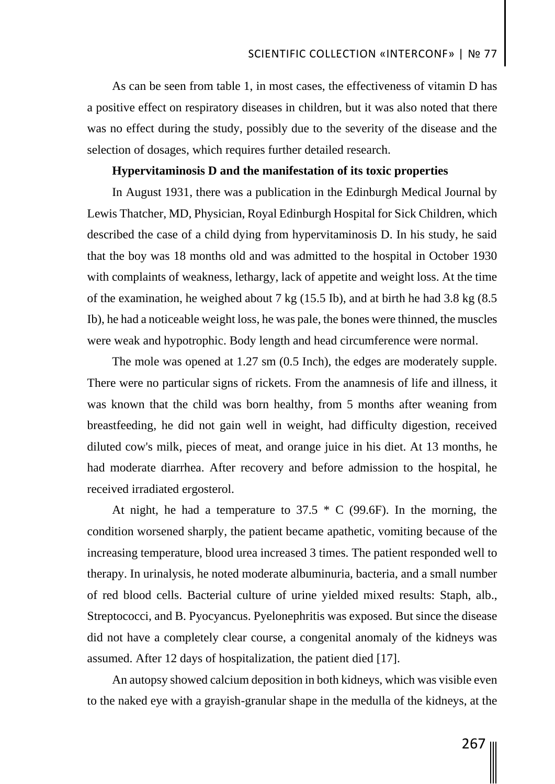As can be seen from table 1, in most cases, the effectiveness of vitamin D has a positive effect on respiratory diseases in children, but it was also noted that there was no effect during the study, possibly due to the severity of the disease and the selection of dosages, which requires further detailed research.

### **Hypervitaminosis D and the manifestation of its toxic properties**

In August 1931, there was a publication in the Edinburgh Medical Journal by Lewis Thatcher, MD, Physician, Royal Edinburgh Hospital for Sick Children, which described the case of a child dying from hypervitaminosis D. In his study, he said that the boy was 18 months old and was admitted to the hospital in October 1930 with complaints of weakness, lethargy, lack of appetite and weight loss. At the time of the examination, he weighed about 7 kg (15.5 Ib), and at birth he had 3.8 kg (8.5 Ib), he had a noticeable weight loss, he was pale, the bones were thinned, the muscles were weak and hypotrophic. Body length and head circumference were normal.

The mole was opened at 1.27 sm (0.5 Inch), the edges are moderately supple. There were no particular signs of rickets. From the anamnesis of life and illness, it was known that the child was born healthy, from 5 months after weaning from breastfeeding, he did not gain well in weight, had difficulty digestion, received diluted cow's milk, pieces of meat, and orange juice in his diet. At 13 months, he had moderate diarrhea. After recovery and before admission to the hospital, he received irradiated ergosterol.

At night, he had a temperature to  $37.5 * C$  (99.6F). In the morning, the condition worsened sharply, the patient became apathetic, vomiting because of the increasing temperature, blood urea increased 3 times. The patient responded well to therapy. In urinalysis, he noted moderate albuminuria, bacteria, and a small number of red blood cells. Bacterial culture of urine yielded mixed results: Staph, alb., Streptococci, and B. Pyocyancus. Pyelonephritis was exposed. But since the disease did not have a completely clear course, a congenital anomaly of the kidneys was assumed. After 12 days of hospitalization, the patient died [17].

An autopsy showed calcium deposition in both kidneys, which was visible even to the naked eye with a grayish-granular shape in the medulla of the kidneys, at the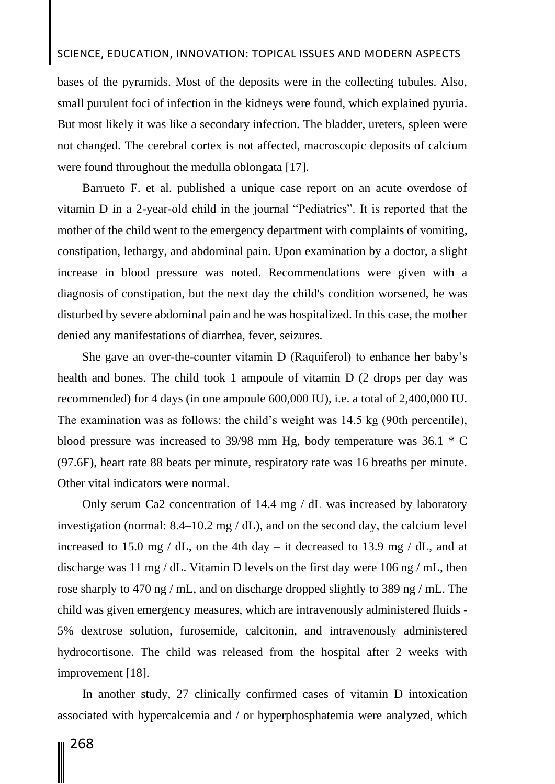# SCIENCE, EDUCATION, INNOVATION: TOPICAL ISSUES AND MODERN ASPECTS

bases of the pyramids. Most of the deposits were in the collecting tubules. Also, small purulent foci of infection in the kidneys were found, which explained pyuria. But most likely it was like a secondary infection. The bladder, ureters, spleen were not changed. The cerebral cortex is not affected, macroscopic deposits of calcium were found throughout the medulla oblongata [17].

Barrueto F. et al. published a unique case report on an acute overdose of vitamin D in a 2-year-old child in the journal "Pediatrics". It is reported that the mother of the child went to the emergency department with complaints of vomiting, constipation, lethargy, and abdominal pain. Upon examination by a doctor, a slight increase in blood pressure was noted. Recommendations were given with a diagnosis of constipation, but the next day the child's condition worsened, he was disturbed by severe abdominal pain and he was hospitalized. In this case, the mother denied any manifestations of diarrhea, fever, seizures.

She gave an over-the-counter vitamin D (Raquiferol) to enhance her baby's health and bones. The child took 1 ampoule of vitamin D (2 drops per day was recommended) for 4 days (in one ampoule 600,000 IU), i.e. a total of 2,400,000 IU. The examination was as follows: the child's weight was 14.5 kg (90th percentile), blood pressure was increased to 39/98 mm Hg, body temperature was 36.1 \* C (97.6F), heart rate 88 beats per minute, respiratory rate was 16 breaths per minute. Other vital indicators were normal.

Only serum Ca2 concentration of 14.4 mg / dL was increased by laboratory investigation (normal: 8.4–10.2 mg / dL), and on the second day, the calcium level increased to 15.0 mg / dL, on the 4th day – it decreased to 13.9 mg / dL, and at discharge was 11 mg / dL. Vitamin D levels on the first day were 106 ng / mL, then rose sharply to 470 ng / mL, and on discharge dropped slightly to 389 ng / mL. The child was given emergency measures, which are intravenously administered fluids - 5% dextrose solution, furosemide, calcitonin, and intravenously administered hydrocortisone. The child was released from the hospital after 2 weeks with improvement [18].

In another study, 27 clinically confirmed cases of vitamin D intoxication associated with hypercalcemia and / or hyperphosphatemia were analyzed, which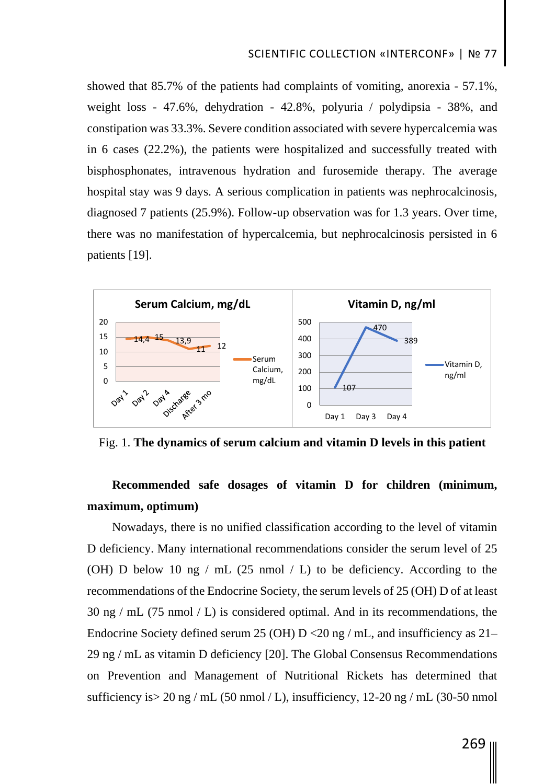showed that 85.7% of the patients had complaints of vomiting, anorexia - 57.1%, weight loss - 47.6%, dehydration - 42.8%, polyuria / polydipsia - 38%, and constipation was 33.3%. Severe condition associated with severe hypercalcemia was in 6 cases (22.2%), the patients were hospitalized and successfully treated with bisphosphonates, intravenous hydration and furosemide therapy. The average hospital stay was 9 days. A serious complication in patients was nephrocalcinosis, diagnosed 7 patients (25.9%). Follow-up observation was for 1.3 years. Over time, there was no manifestation of hypercalcemia, but nephrocalcinosis persisted in 6 patients [19].



Fig. 1. **The dynamics of serum calcium and vitamin D levels in this patient**

# **Recommended safe dosages of vitamin D for children (minimum, maximum, optimum)**

Nowadays, there is no unified classification according to the level of vitamin D deficiency. Many international recommendations consider the serum level of 25 (OH) D below 10 ng / mL  $(25 \text{ nmol} / L)$  to be deficiency. According to the recommendations of the Endocrine Society, the serum levels of 25 (OH) D of at least 30 ng / mL (75 nmol / L) is considered optimal. And in its recommendations, the Endocrine Society defined serum 25 (OH)  $D < 20$  ng / mL, and insufficiency as 21– 29 ng / mL as vitamin D deficiency [20]. The Global Consensus Recommendations on Prevention and Management of Nutritional Rickets has determined that sufficiency is  $> 20$  ng / mL (50 nmol / L), insufficiency, 12-20 ng / mL (30-50 nmol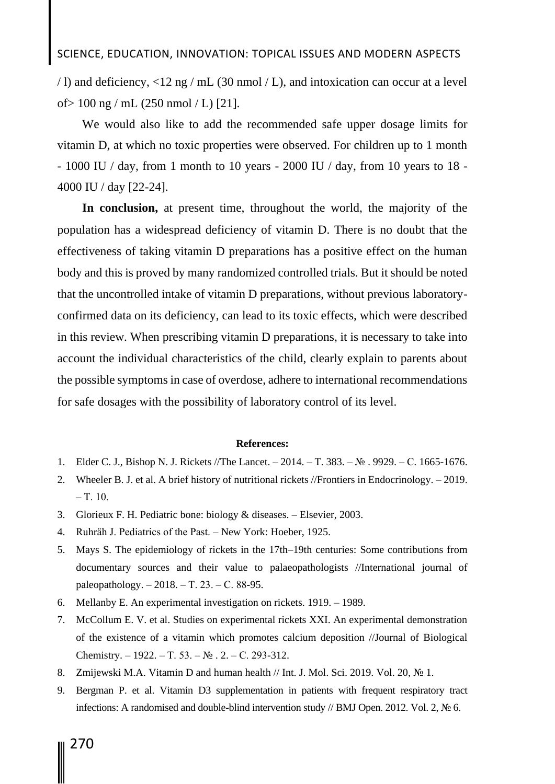# SCIENCE, EDUCATION, INNOVATION: TOPICAL ISSUES AND MODERN ASPECTS

/ l) and deficiency, <12 ng / mL (30 nmol / L), and intoxication can occur at a level of > 100 ng / mL (250 nmol / L) [21].

We would also like to add the recommended safe upper dosage limits for vitamin D, at which no toxic properties were observed. For children up to 1 month - 1000 IU / day, from 1 month to 10 years - 2000 IU / day, from 10 years to 18 - 4000 IU / day [22-24].

**In conclusion,** at present time, throughout the world, the majority of the population has a widespread deficiency of vitamin D. There is no doubt that the effectiveness of taking vitamin D preparations has a positive effect on the human body and this is proved by many randomized controlled trials. But it should be noted that the uncontrolled intake of vitamin D preparations, without previous laboratoryconfirmed data on its deficiency, can lead to its toxic effects, which were described in this review. When prescribing vitamin D preparations, it is necessary to take into account the individual characteristics of the child, clearly explain to parents about the possible symptoms in case of overdose, adhere to international recommendations for safe dosages with the possibility of laboratory control of its level.

#### **References:**

- 1. Elder C. J., Bishop N. J. Rickets //The Lancet. 2014. Т. 383. № . 9929. С. 1665-1676.
- 2. Wheeler B. J. et al. A brief history of nutritional rickets //Frontiers in Endocrinology. 2019.  $-$  T. 10.
- 3. Glorieux F. H. Pediatric bone: biology & diseases. Elsevier, 2003.
- 4. Ruhräh J. Pediatrics of the Past. New York: Hoeber, 1925.
- 5. Mays S. The epidemiology of rickets in the 17th–19th centuries: Some contributions from documentary sources and their value to palaeopathologists //International journal of paleopathology. – 2018. – Т. 23. – С. 88-95.
- 6. Mellanby E. An experimental investigation on rickets. 1919. 1989.
- 7. McCollum E. V. et al. Studies on experimental rickets XXI. An experimental demonstration of the existence of a vitamin which promotes calcium deposition //Journal of Biological Chemistry. – 1922. – Т. 53. –  $N_2$ . 2. – С. 293-312.
- 8. Zmijewski M.A. Vitamin D and human health // Int. J. Mol. Sci. 2019. Vol. 20, № 1.
- 9. Bergman P. et al. Vitamin D3 supplementation in patients with frequent respiratory tract infections: A randomised and double-blind intervention study // BMJ Open. 2012. Vol. 2, № 6.